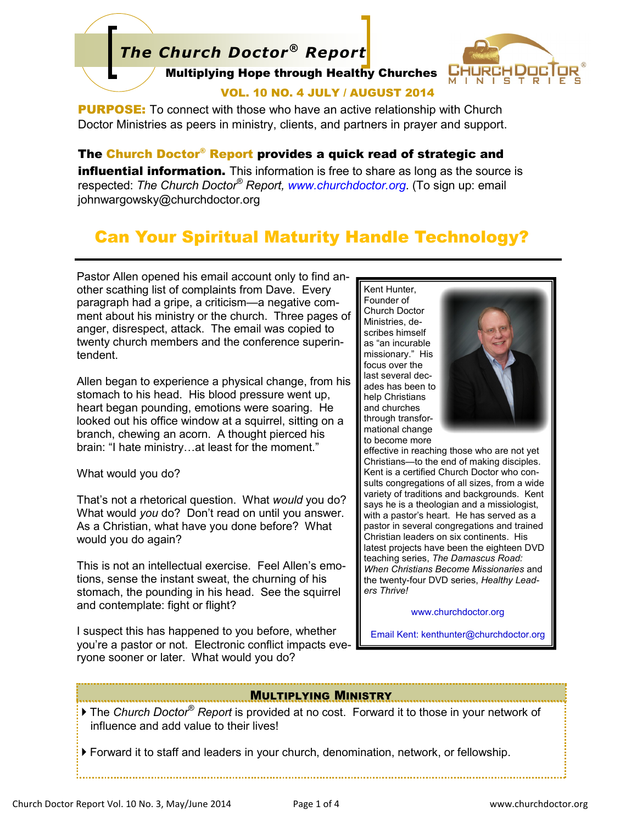# *The Church Doctor® Report*



#### Multiplying Hope through Healthy Churches

## VOL. 10 NO. 4 JULY / AUGUST 2014

**PURPOSE:** To connect with those who have an active relationship with Church Doctor Ministries as peers in ministry, clients, and partners in prayer and support.

## The Church Doctor® Report provides a quick read of strategic and

**influential information.** This information is free to share as long as the source is respected: *The Church Doctor® Report, www.churchdoctor.org*. (To sign up: email johnwargowsky@churchdoctor.org

# Can Your Spiritual Maturity Handle Technology?

Pastor Allen opened his email account only to find another scathing list of complaints from Dave. Every paragraph had a gripe, a criticism—a negative comment about his ministry or the church. Three pages of anger, disrespect, attack. The email was copied to twenty church members and the conference superintendent.

Allen began to experience a physical change, from his stomach to his head. His blood pressure went up, heart began pounding, emotions were soaring. He looked out his office window at a squirrel, sitting on a branch, chewing an acorn. A thought pierced his brain: "I hate ministry…at least for the moment."

#### What would you do?

That's not a rhetorical question. What *would* you do? What would *you* do? Don't read on until you answer. As a Christian, what have you done before? What would you do again?

This is not an intellectual exercise. Feel Allen's emotions, sense the instant sweat, the churning of his stomach, the pounding in his head. See the squirrel and contemplate: fight or flight?

I suspect this has happened to you before, whether you're a pastor or not. Electronic conflict impacts everyone sooner or later. What would you do?

Kent Hunter, Founder of Church Doctor Ministries, describes himself as "an incurable missionary." His focus over the last several decades has been to help Christians and churches through transformational change to become more



effective in reaching those who are not yet Christians—to the end of making disciples. Kent is a certified Church Doctor who consults congregations of all sizes, from a wide variety of traditions and backgrounds. Kent says he is a theologian and a missiologist, with a pastor's heart. He has served as a pastor in several congregations and trained Christian leaders on six continents. His latest projects have been the eighteen DVD teaching series, *The Damascus Road: When Christians Become Missionaries* and the twenty-four DVD series, *Healthy Leaders Thrive!* 

#### www.churchdoctor.org

Email Kent: kenthunter@churchdoctor.org

#### MULTIPLYING MINISTRY

- The *Church Doctor® Report* is provided at no cost. Forward it to those in your network of influence and add value to their lives!
- Forward it to staff and leaders in your church, denomination, network, or fellowship.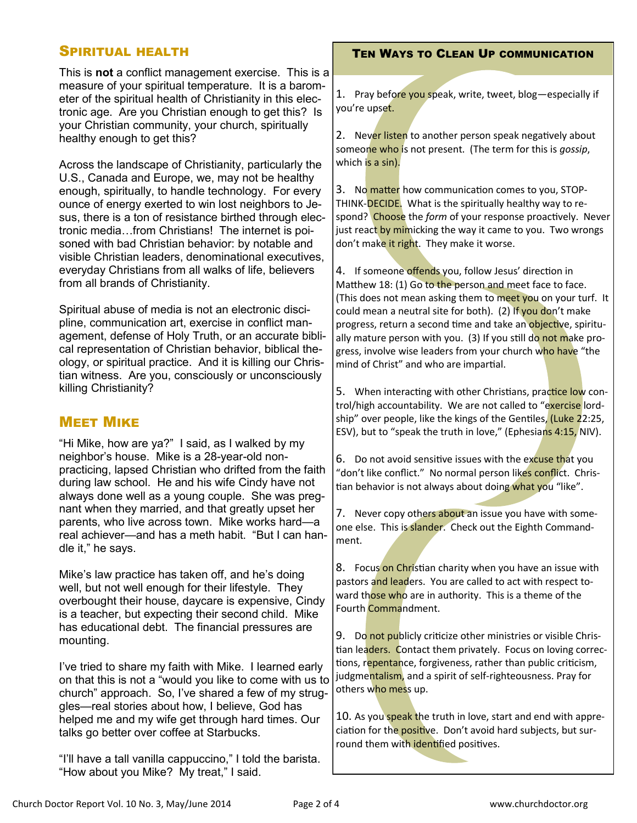## SPIRITUAL HEALTH

This is **not** a conflict management exercise. This is a measure of your spiritual temperature. It is a barometer of the spiritual health of Christianity in this electronic age. Are you Christian enough to get this? Is your Christian community, your church, spiritually healthy enough to get this?

Across the landscape of Christianity, particularly the U.S., Canada and Europe, we, may not be healthy enough, spiritually, to handle technology. For every ounce of energy exerted to win lost neighbors to Jesus, there is a ton of resistance birthed through electronic media…from Christians! The internet is poisoned with bad Christian behavior: by notable and visible Christian leaders, denominational executives, everyday Christians from all walks of life, believers from all brands of Christianity.

Spiritual abuse of media is not an electronic discipline, communication art, exercise in conflict management, defense of Holy Truth, or an accurate biblical representation of Christian behavior, biblical theology, or spiritual practice. And it is killing our Christian witness. Are you, consciously or unconsciously killing Christianity?

## **MEET MIKE**

"Hi Mike, how are ya?" I said, as I walked by my neighbor's house. Mike is a 28-year-old nonpracticing, lapsed Christian who drifted from the faith during law school. He and his wife Cindy have not always done well as a young couple. She was pregnant when they married, and that greatly upset her parents, who live across town. Mike works hard—a real achiever—and has a meth habit. "But I can handle it," he says.

Mike's law practice has taken off, and he's doing well, but not well enough for their lifestyle. They overbought their house, daycare is expensive, Cindy is a teacher, but expecting their second child. Mike has educational debt. The financial pressures are mounting.

I've tried to share my faith with Mike. I learned early on that this is not a "would you like to come with us to church" approach. So, I've shared a few of my struggles—real stories about how, I believe, God has helped me and my wife get through hard times. Our talks go better over coffee at Starbucks.

"I'll have a tall vanilla cappuccino," I told the barista. "How about you Mike? My treat," I said.

## TEN WAYS TO CLEAN UP COMMUNICATION

1. Pray before you speak, write, tweet, blog-especially if you're upset.

2. Never listen to another person speak negatively about someone who is not present. (The term for this is *gossip*, which is a sin).

3. No matter how communication comes to you, STOP-THINK-DECIDE. What is the spiritually healthy way to respond? Choose the *form* of your response proactively. Never just react by mimicking the way it came to you. Two wrongs don't make it right. They make it worse.

4. If someone offends you, follow Jesus' direction in Matthew 18: (1) Go to the person and meet face to face. (This does not mean asking them to meet you on your turf. It could mean a neutral site for both). (2) If you don't make progress, return a second time and take an objective, spiritually mature person with you. (3) If you still do not make progress, involve wise leaders from your church who have "the mind of Christ" and who are impartial.

5. When interacting with other Christians, practice low control/high accountability. We are not called to "exercise lordship" over people, like the kings of the Gentiles, (Luke 22:25, ESV), but to "speak the truth in love," (Ephesians 4:15, NIV).

6. Do not avoid sensitive issues with the excuse that you "don't like conflict." No normal person likes conflict. Christian behavior is not always about doing what you "like".

7. Never copy others about an issue you have with someone else. This is slander. Check out the Eighth Commandment.

8. Focus on Christian charity when you have an issue with pastors and leaders. You are called to act with respect toward those who are in authority. This is a theme of the Fourth Commandment.

9. Do not publicly criticize other ministries or visible Christian leaders. Contact them privately. Focus on loving corrections, repentance, forgiveness, rather than public criticism, judgmentalism, and a spirit of self-righteousness. Pray for others who mess up.

10. As you speak the truth in love, start and end with appreciation for the positive. Don't avoid hard subjects, but surround them with identified positives.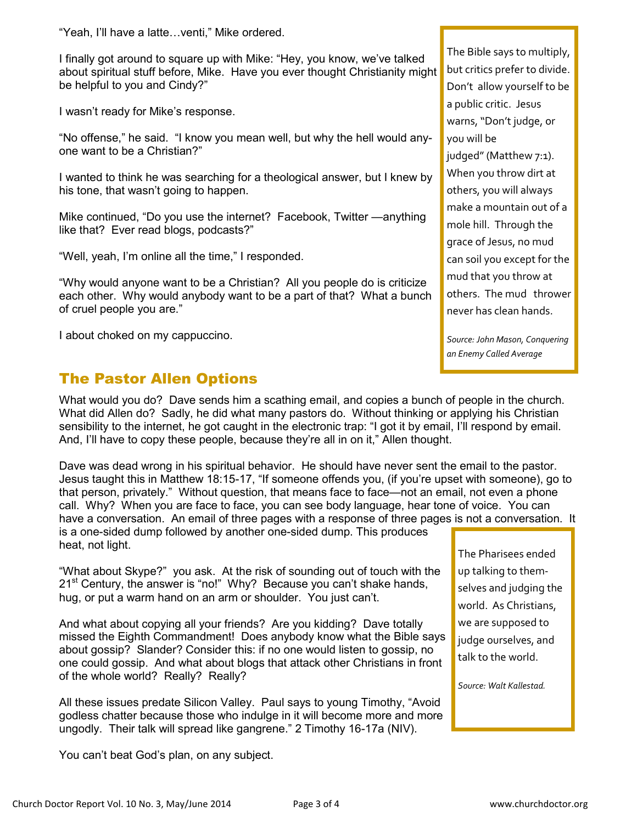"Yeah, I'll have a latte…venti," Mike ordered.

I finally got around to square up with Mike: "Hey, you know, we've talked about spiritual stuff before, Mike. Have you ever thought Christianity might be helpful to you and Cindy?"

I wasn't ready for Mike's response.

"No offense," he said. "I know you mean well, but why the hell would anyone want to be a Christian?"

I wanted to think he was searching for a theological answer, but I knew by his tone, that wasn't going to happen.

Mike continued, "Do you use the internet? Facebook, Twitter —anything like that? Ever read blogs, podcasts?"

"Well, yeah, I'm online all the time," I responded.

"Why would anyone want to be a Christian? All you people do is criticize each other. Why would anybody want to be a part of that? What a bunch of cruel people you are."

I about choked on my cappuccino.

# The Pastor Allen Options

What would you do? Dave sends him a scathing email, and copies a bunch of people in the church. What did Allen do? Sadly, he did what many pastors do. Without thinking or applying his Christian sensibility to the internet, he got caught in the electronic trap: "I got it by email, I'll respond by email. And, I'll have to copy these people, because they're all in on it," Allen thought.

Dave was dead wrong in his spiritual behavior. He should have never sent the email to the pastor. Jesus taught this in Matthew 18:15-17, "If someone offends you, (if you're upset with someone), go to that person, privately." Without question, that means face to face—not an email, not even a phone call. Why? When you are face to face, you can see body language, hear tone of voice. You can have a conversation. An email of three pages with a response of three pages is not a conversation. It is a one-sided dump followed by another one-sided dump. This produces heat, not light.

"What about Skype?" you ask. At the risk of sounding out of touch with the  $21<sup>st</sup>$  Century, the answer is "no!" Why? Because you can't shake hands, hug, or put a warm hand on an arm or shoulder. You just can't.

And what about copying all your friends? Are you kidding? Dave totally missed the Eighth Commandment! Does anybody know what the Bible says about gossip? Slander? Consider this: if no one would listen to gossip, no one could gossip. And what about blogs that attack other Christians in front of the whole world? Really? Really?

All these issues predate Silicon Valley. Paul says to young Timothy, "Avoid godless chatter because those who indulge in it will become more and more ungodly. Their talk will spread like gangrene." 2 Timothy 16-17a (NIV).

You can't beat God's plan, on any subject.

The Bible says to multiply, but critics prefer to divide. Don't allow yourself to be a public critic. Jesus warns, "Don't judge, or you will be judged" (Matthew 7:1). When you throw dirt at others, you will always make a mountain out of a mole hill. Through the grace of Jesus, no mud can soil you except for the mud that you throw at others. The mud thrower never has clean hands.

*Source: John Mason, Conquering an Enemy Called Average* 

The Pharisees ended up talking to themselves and judging the world. As Christians, we are supposed to judge ourselves, and talk to the world.

*Source: Walt Kallestad.*